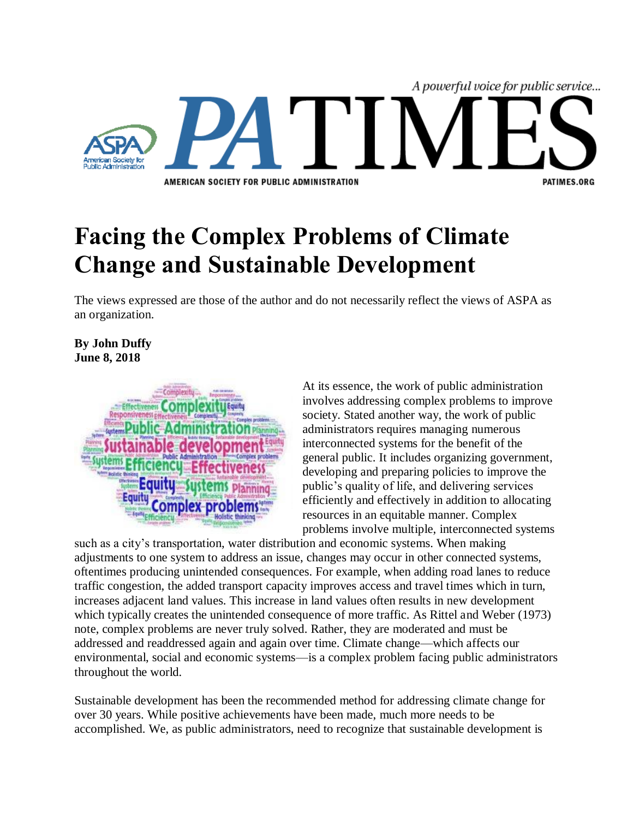

## **Facing the Complex Problems of Climate Change and Sustainable Development**

The views expressed are those of the author and do not necessarily reflect the views of ASPA as an organization.

## **By John Duffy June 8, 2018**



At its essence, the work of public administration involves addressing complex problems to improve society. Stated another way, the work of public administrators requires managing numerous interconnected systems for the benefit of the general public. It includes organizing government, developing and preparing policies to improve the public's quality of life, and delivering services efficiently and effectively in addition to allocating resources in an equitable manner. Complex problems involve multiple, interconnected systems

such as a city's transportation, water distribution and economic systems. When making adjustments to one system to address an issue, changes may occur in other connected systems, oftentimes producing unintended consequences. For example, when adding road lanes to reduce traffic congestion, the added transport capacity improves access and travel times which in turn, increases adjacent land values. This increase in land values often results in new development which typically creates the unintended consequence of more traffic. As Rittel and Weber (1973) note, complex problems are never truly solved. Rather, they are moderated and must be addressed and readdressed again and again over time. Climate change—which affects our environmental, social and economic systems—is a complex problem facing public administrators throughout the world.

Sustainable development has been the recommended method for addressing climate change for over 30 years. While positive achievements have been made, much more needs to be accomplished. We, as public administrators, need to recognize that sustainable development is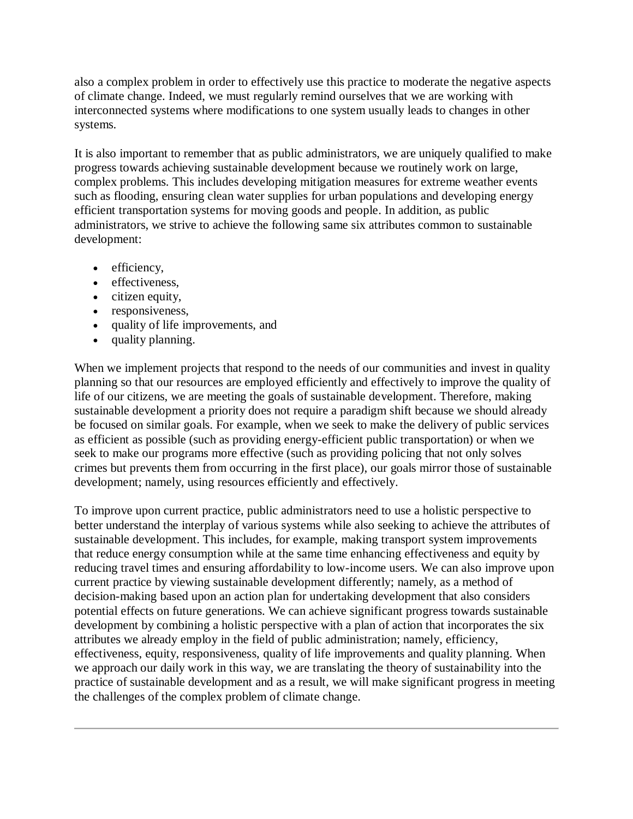also a complex problem in order to effectively use this practice to moderate the negative aspects of climate change. Indeed, we must regularly remind ourselves that we are working with interconnected systems where modifications to one system usually leads to changes in other systems.

It is also important to remember that as public administrators, we are uniquely qualified to make progress towards achieving sustainable development because we routinely work on large, complex problems. This includes developing mitigation measures for extreme weather events such as flooding, ensuring clean water supplies for urban populations and developing energy efficient transportation systems for moving goods and people. In addition, as public administrators, we strive to achieve the following same six attributes common to sustainable development:

- efficiency,
- effectiveness.
- citizen equity,
- responsiveness,
- quality of life improvements, and
- quality planning.

When we implement projects that respond to the needs of our communities and invest in quality planning so that our resources are employed efficiently and effectively to improve the quality of life of our citizens, we are meeting the goals of sustainable development. Therefore, making sustainable development a priority does not require a paradigm shift because we should already be focused on similar goals. For example, when we seek to make the delivery of public services as efficient as possible (such as providing energy-efficient public transportation) or when we seek to make our programs more effective (such as providing policing that not only solves crimes but prevents them from occurring in the first place), our goals mirror those of sustainable development; namely, using resources efficiently and effectively.

To improve upon current practice, public administrators need to use a holistic perspective to better understand the interplay of various systems while also seeking to achieve the attributes of sustainable development. This includes, for example, making transport system improvements that reduce energy consumption while at the same time enhancing effectiveness and equity by reducing travel times and ensuring affordability to low-income users. We can also improve upon current practice by viewing sustainable development differently; namely, as a method of decision-making based upon an action plan for undertaking development that also considers potential effects on future generations. We can achieve significant progress towards sustainable development by combining a holistic perspective with a plan of action that incorporates the six attributes we already employ in the field of public administration; namely, efficiency, effectiveness, equity, responsiveness, quality of life improvements and quality planning. When we approach our daily work in this way, we are translating the theory of sustainability into the practice of sustainable development and as a result, we will make significant progress in meeting the challenges of the complex problem of climate change.